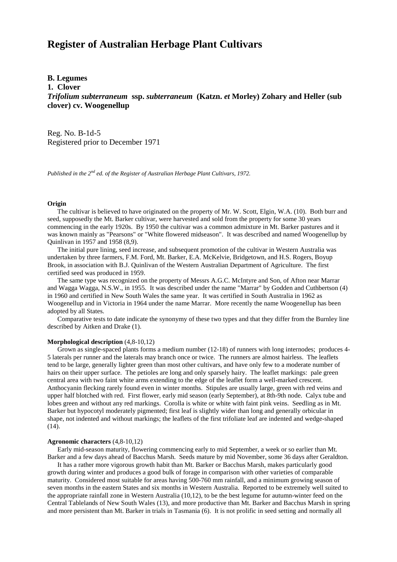# **Register of Australian Herbage Plant Cultivars**

## **B. Legumes**

**1. Clover**

*Trifolium subterraneum* **ssp.** *subterraneum* **(Katzn.** *et* **Morley) Zohary and Heller (sub clover) cv. Woogenellup**

Reg. No. B-1d-5 Registered prior to December 1971

*Published in the 2nd ed. of the Register of Australian Herbage Plant Cultivars, 1972.*

## **Origin**

 The cultivar is believed to have originated on the property of Mr. W. Scott, Elgin, W.A. (10). Both burr and seed, supposedly the Mt. Barker cultivar, were harvested and sold from the property for some 30 years commencing in the early 1920s. By 1950 the cultivar was a common admixture in Mt. Barker pastures and it was known mainly as "Pearsons" or "White flowered midseason". It was described and named Woogenellup by Quinlivan in 1957 and 1958 (8,9).

 The initial pure lining, seed increase, and subsequent promotion of the cultivar in Western Australia was undertaken by three farmers, F.M. Ford, Mt. Barker, E.A. McKelvie, Bridgetown, and H.S. Rogers, Boyup Brook, in association with B.J. Quinlivan of the Western Australian Department of Agriculture. The first certified seed was produced in 1959.

 The same type was recognized on the property of Messrs A.G.C. McIntyre and Son, of Afton near Marrar and Wagga Wagga, N.S.W., in 1955. It was described under the name "Marrar" by Godden and Cuthbertson (4) in 1960 and certified in New South Wales the same year. It was certified in South Australia in 1962 as Woogenellup and in Victoria in 1964 under the name Marrar. More recently the name Woogenellup has been adopted by all States.

 Comparative tests to date indicate the synonymy of these two types and that they differ from the Burnley line described by Aitken and Drake (1).

## **Morphological description** (4,8-10,12)

 Grown as single-spaced plants forms a medium number (12-18) of runners with long internodes; produces 4- 5 laterals per runner and the laterals may branch once or twice. The runners are almost hairless. The leaflets tend to be large, generally lighter green than most other cultivars, and have only few to a moderate number of hairs on their upper surface. The petioles are long and only sparsely hairy. The leaflet markings: pale green central area with two faint white arms extending to the edge of the leaflet form a well-marked crescent. Anthocyanin flecking rarely found even in winter months. Stipules are usually large, green with red veins and upper half blotched with red. First flower, early mid season (early September), at 8th-9th node. Calyx tube and lobes green and without any red markings. Corolla is white or white with faint pink veins. Seedling as in Mt. Barker but hypocotyl moderately pigmented; first leaf is slightly wider than long and generally orbicular in shape, not indented and without markings; the leaflets of the first trifoliate leaf are indented and wedge-shaped  $(14)$ .

#### **Agronomic characters** (4,8-10,12)

 Early mid-season maturity, flowering commencing early to mid September, a week or so earlier than Mt. Barker and a few days ahead of Bacchus Marsh. Seeds mature by mid November, some 36 days after Geraldton.

 It has a rather more vigorous growth habit than Mt. Barker or Bacchus Marsh, makes particularly good growth during winter and produces a good bulk of forage in comparison with other varieties of comparable maturity. Considered most suitable for areas having 500-760 mm rainfall, and a minimum growing season of seven months in the eastern States and six months in Western Australia. Reported to be extremely well suited to the appropriate rainfall zone in Western Australia (10,12), to be the best legume for autumn-winter feed on the Central Tablelands of New South Wales (13), and more productive than Mt. Barker and Bacchus Marsh in spring and more persistent than Mt. Barker in trials in Tasmania (6). It is not prolific in seed setting and normally all